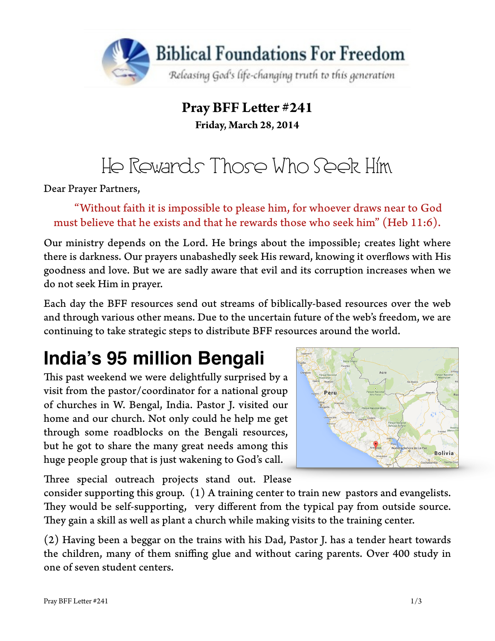

### **Pray BFF Leter #241 Friday, March 28, 2014**

# He Rewards Those Who Seek Him

Dear Prayer Partners,

"Without faith it is impossible to please him, for whoever draws near to God must believe that he exists and that he rewards those who seek him" (Heb 11:6).

Our ministry depends on the Lord. He brings about the impossible; creates light where there is darkness. Our prayers unabashedly seek His reward, knowing it overfows with His goodness and love. But we are sadly aware that evil and its corruption increases when we do not seek Him in prayer.

Each day the BFF resources send out streams of biblically-based resources over the web and through various other means. Due to the uncertain future of the web's freedom, we are continuing to take strategic steps to distribute BFF resources around the world.

### **India's 95 million Bengali**

This past weekend we were delightfully surprised by a visit from the pastor/coordinator for a national group of churches in W. Bengal, India. Pastor J. visited our home and our church. Not only could he help me get through some roadblocks on the Bengali resources, but he got to share the many great needs among this huge people group that is just wakening to God's call.



Three special outreach projects stand out. Please

consider supporting this group. (1) A training center to train new pastors and evangelists. They would be self-supporting, very different from the typical pay from outside source. They gain a skill as well as plant a church while making visits to the training center.

(2) Having been a beggar on the trains with his Dad, Pastor J. has a tender heart towards the children, many of them sniffing glue and without caring parents. Over 400 study in one of seven student centers.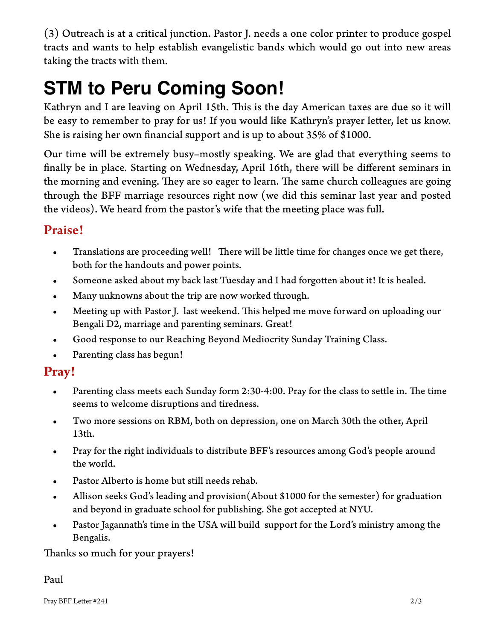(3) Outreach is at a critical junction. Pastor J. needs a one color printer to produce gospel tracts and wants to help establish evangelistic bands which would go out into new areas taking the tracts with them.

## **STM to Peru Coming Soon!**

Kathryn and I are leaving on April 15th. This is the day American taxes are due so it will be easy to remember to pray for us! If you would like Kathryn's prayer letter, let us know. She is raising her own fnancial support and is up to about 35% of \$1000.

Our time will be extremely busy–mostly speaking. We are glad that everything seems to fnally be in place. Starting on Wednesday, April 16th, there will be different seminars in the morning and evening. They are so eager to learn. The same church colleagues are going through the BFF marriage resources right now (we did this seminar last year and posted the videos). We heard from the pastor's wife that the meeting place was full.

#### Praise!

- Translations are proceeding well! There will be little time for changes once we get there, both for the handouts and power points.
- Someone asked about my back last Tuesday and I had forgoten about it! It is healed.
- Many unknowns about the trip are now worked through.
- Meeting up with Pastor J. last weekend. This helped me move forward on uploading our Bengali D2, marriage and parenting seminars. Great!
- Good response to our Reaching Beyond Mediocrity Sunday Training Class.
- Parenting class has begun!

### **Pray!**

- Parenting class meets each Sunday form 2:30-4:00. Pray for the class to settle in. The time seems to welcome disruptions and tiredness.
- Two more sessions on RBM, both on depression, one on March 30th the other, April 13th.
- Pray for the right individuals to distribute BFF's resources among God's people around the world.
- Pastor Alberto is home but still needs rehab.
- Allison seeks God's leading and provision (About \$1000 for the semester) for graduation and beyond in graduate school for publishing. She got accepted at NYU.
- Pastor Jagannath's time in the USA will build support for the Lord's ministry among the Bengalis.

Thanks so much for your prayers!

Paul